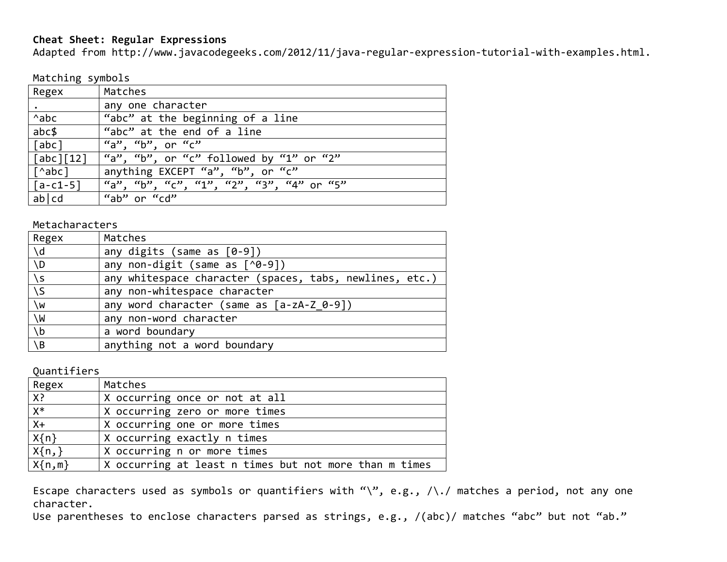## **Cheat Sheet: Regular Expressions**

Adapted from http://www.javacodegeeks.com/2012/11/java-regular-expression-tutorial-with-examples.html.

Matching symbols

| Regex                                            | Matches                                  |
|--------------------------------------------------|------------------------------------------|
|                                                  | any one character                        |
| $^{\wedge}$ abc                                  | "abc" at the beginning of a line         |
| abc                                              | "abc" at the end of a line               |
| $\lceil \mathsf{a} \mathsf{b} \mathsf{c} \rceil$ | "a", "b", or "c"                         |
| $\lceil \int abc \rceil \lceil 12 \rceil$        | "a", "b", or "c" followed by "1" or "2"  |
| [^abc]                                           | anything EXCEPT "a", "b", or "c"         |
| $\lceil a-c1-5\rceil$                            | "a", "b", "c", "1", "2", "3", "4" or "5" |
| ab cd                                            | "ab" or "cd"                             |

Metacharacters

| Regex         | Matches                                                 |
|---------------|---------------------------------------------------------|
| $\mathcal{A}$ | any digits (same as $[0-9]$ )                           |
| $\setminus D$ | any non-digit (same as $\lceil \sqrt{9}-9 \rceil$ )     |
| $\sqrt{s}$    | any whitespace character (spaces, tabs, newlines, etc.) |
| $\setminus$   | any non-whitespace character                            |
| $\sqrt{w}$    | any word character (same as $[a-zA-Z 0-9]$ )            |
| /M            | any non-word character                                  |
| $\lambda$     | a word boundary                                         |
| $\setminus B$ | anything not a word boundary                            |

Quantifiers

| Regex      | Matches                                                |
|------------|--------------------------------------------------------|
| X?         | X occurring once or not at all                         |
| $X^*$      | X occurring zero or more times                         |
| $X+$       | X occurring one or more times                          |
| $X\{n\}$   | X occurring exactly n times                            |
| $X\{n,\}$  | X occurring n or more times                            |
| $X\{n,m\}$ | X occurring at least n times but not more than m times |

Escape characters used as symbols or quantifiers with "\", e.g., /\./ matches a period, not any one character.

Use parentheses to enclose characters parsed as strings, e.g., /(abc)/ matches "abc" but not "ab."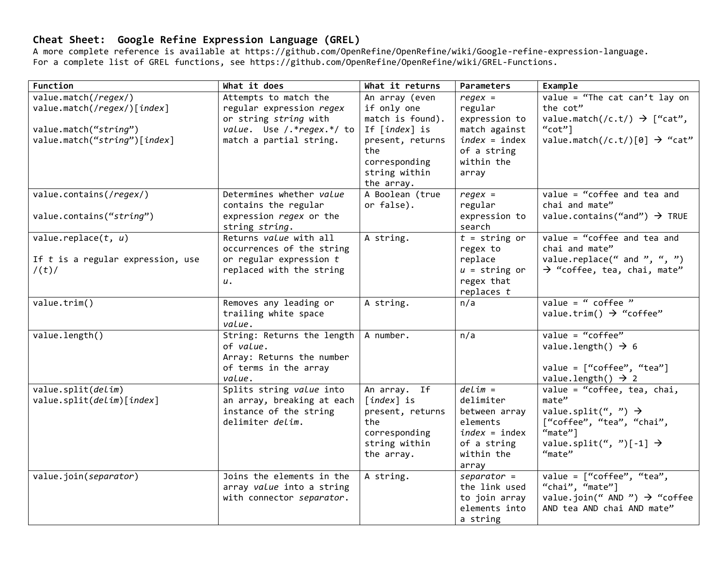## **Cheat Sheet: Google Refine Expression Language (GREL)**

A more complete reference is available at https://github.com/OpenRefine/OpenRefine/wiki/Google-refine-expression-language. For a complete list of GREL functions, see https://github.com/OpenRefine/OpenRefine/wiki/GREL-Functions.

| Function                                                      | What it does                                                                                            | What it returns                                                                                                     | Parameters                                                                                                   | Example                                                                                                                                                          |
|---------------------------------------------------------------|---------------------------------------------------------------------------------------------------------|---------------------------------------------------------------------------------------------------------------------|--------------------------------------------------------------------------------------------------------------|------------------------------------------------------------------------------------------------------------------------------------------------------------------|
| value.match(/regex/)<br>value.match(/regex/)[index]           | Attempts to match the<br>regular expression regex                                                       | An array (even<br>if only one                                                                                       | $regex =$<br>regular                                                                                         | value = "The cat can't lay on<br>the cot"                                                                                                                        |
| value.match("string")<br>value.match("string")[index]         | or string string with<br>value. Use /.*regex.*/ to<br>match a partial string.                           | match is found).<br>If [ <i>index</i> ] is<br>present, returns<br>the<br>corresponding                              | expression to<br>match against<br>$index = index$<br>of a string<br>within the                               | value.match(/c.t/) $\rightarrow$ ["cat",<br>" $cot"$ ]<br>value.match(/c.t/)[0] $\rightarrow$ "cat"                                                              |
|                                                               |                                                                                                         | string within<br>the array.                                                                                         | array                                                                                                        |                                                                                                                                                                  |
| value.contains(/regex/)                                       | Determines whether value<br>contains the regular                                                        | A Boolean (true<br>or false).                                                                                       | $regex =$<br>regular                                                                                         | $value = "coffee$ and tea and<br>chai and mate"                                                                                                                  |
| value.contains("string")                                      | expression regex or the<br>string string.                                                               |                                                                                                                     | expression to<br>search                                                                                      | value.contains("and") $\rightarrow$ TRUE                                                                                                                         |
| value.replace $(t, u)$<br>If $t$ is a regular expression, use | Returns value with all<br>occurrences of the string<br>or regular expression $t$                        | $\overline{A}$ string.                                                                                              | $t =$ string or<br>regex to<br>replace                                                                       | value = "coffee and tea and<br>chai and mate"<br>value.replace(" and ", ", ")                                                                                    |
| /(t)/                                                         | replaced with the string<br>и.                                                                          |                                                                                                                     | $u =$ string or<br>regex that<br>replaces $t$                                                                | $\rightarrow$ "coffee, tea, chai, mate"                                                                                                                          |
| value.trim()                                                  | Removes any leading or<br>trailing white space<br>value.                                                | A string.                                                                                                           | n/a                                                                                                          | value = " $cofree$ "<br>value.trim() $\rightarrow$ "coffee"                                                                                                      |
| value.length()                                                | String: Returns the length<br>of value.<br>Array: Returns the number<br>of terms in the array<br>value. | A number.                                                                                                           | n/a                                                                                                          | $value = "coffee"$<br>value.length() $\rightarrow$ 6<br>value = $["coffee", "tea"]$<br>value.length() $\rightarrow$ 2                                            |
| value.split(delim)<br>value.split(delim)[index]               | Splits string value into<br>an array, breaking at each<br>instance of the string<br>delimiter delim.    | An array. If<br>$\lceil index \rceil$ is<br>present, returns<br>the<br>corresponding<br>string within<br>the array. | $delim =$<br>delimiter<br>between array<br>elements<br>$index = index$<br>of a string<br>within the<br>array | value = "coffee, tea, chai,<br>mate"<br>value.split(", ") $\rightarrow$<br>["coffee", "tea", "chai",<br>"mate"]<br>value.split(", ")[-1] $\rightarrow$<br>"mate" |
| value.join(separator)                                         | Joins the elements in the<br>array value into a string<br>with connector separator.                     | A string.                                                                                                           | $separation =$<br>the link used<br>to join array<br>elements into<br>a string                                | value = $["coffee", "tea",$<br>"chai", "mate"]<br>value.join(" AND ") $\rightarrow$ "coffee<br>AND tea AND chai AND mate"                                        |